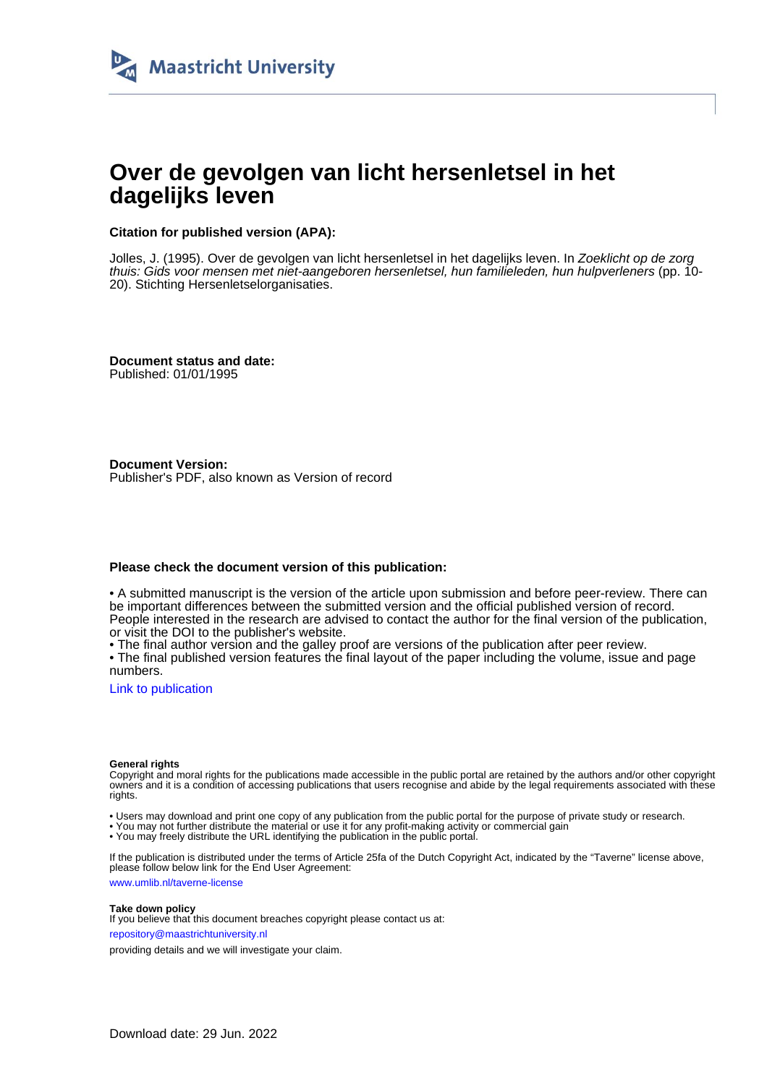

# **Over de gevolgen van licht hersenletsel in het dagelijks leven**

# **Citation for published version (APA):**

Jolles, J. (1995). Over de gevolgen van licht hersenletsel in het dagelijks leven. In Zoeklicht op de zorg thuis: Gids voor mensen met niet-aangeboren hersenletsel, hun familieleden, hun hulpverleners (pp. 10- 20). Stichting Hersenletselorganisaties.

**Document status and date:** Published: 01/01/1995

**Document Version:** Publisher's PDF, also known as Version of record

# **Please check the document version of this publication:**

• A submitted manuscript is the version of the article upon submission and before peer-review. There can be important differences between the submitted version and the official published version of record. People interested in the research are advised to contact the author for the final version of the publication, or visit the DOI to the publisher's website.

• The final author version and the galley proof are versions of the publication after peer review.

• The final published version features the final layout of the paper including the volume, issue and page numbers.

[Link to publication](https://cris.maastrichtuniversity.nl/en/publications/292a7935-bf8e-4386-9ac4-c488ba5dd9f2)

### **General rights**

Copyright and moral rights for the publications made accessible in the public portal are retained by the authors and/or other copyright owners and it is a condition of accessing publications that users recognise and abide by the legal requirements associated with these rights.

• Users may download and print one copy of any publication from the public portal for the purpose of private study or research.

• You may not further distribute the material or use it for any profit-making activity or commercial gain

• You may freely distribute the URL identifying the publication in the public portal.

If the publication is distributed under the terms of Article 25fa of the Dutch Copyright Act, indicated by the "Taverne" license above, please follow below link for the End User Agreement:

www.umlib.nl/taverne-license

## **Take down policy**

If you believe that this document breaches copyright please contact us at: repository@maastrichtuniversity.nl

providing details and we will investigate your claim.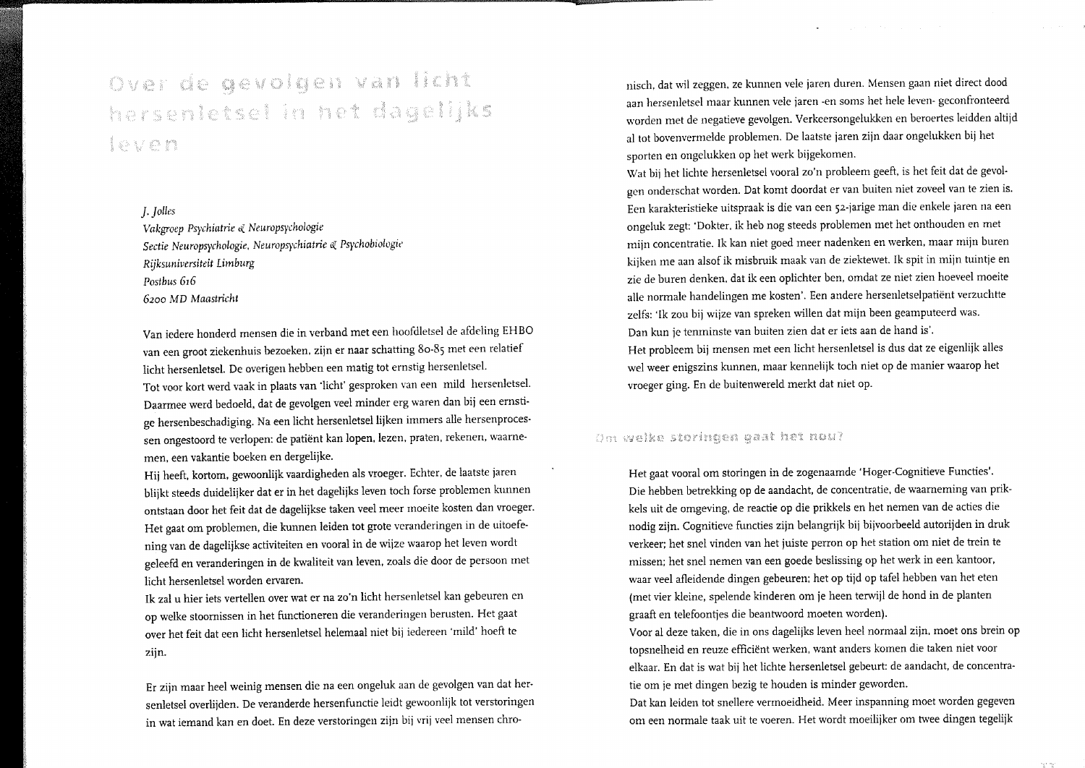# Over de gevolgen van licht hersenletsel in het dagelijks leven

# J. Jolles

Vakgroep Psychiatrie & Neuropsychologie Sectie Neuropsychologie, Neuropsychiatrie & Psychobiologie Rijksuniversiteit Limburg Postbus 616 6200 MD Maastricht

Van iedere honderd mensen die in verband met een hoofdletsel de afdeling EHBO van een groot ziekenhuis bezoeken, zijn er naar schatting 80-85 met een relatief licht hersenletsel. De overigen hebben een matig tot ernstig hersenletsel. Tot voor kort werd vaak in plaats van 'licht' gesproken van een mild hersenletsel. Daarmee werd bedoeld, dat de gevolgen veel minder erg waren dan bij een ernstige hersenbeschadiging. Na een licht hersenletsel lijken immers alle hersenprocessen ongestoord te verlopen: de patiënt kan lopen, lezen, praten, rekenen, waarnemen, een vakantie boeken en dergelijke.

Hij heeft, kortom, gewoonlijk vaardigheden als vroeger. Echter, de laatste jaren blijkt steeds duidelijker dat er in het dagelijks leven toch forse problemen kunnen ontstaan door het feit dat de dagelijkse taken veel meer moeite kosten dan vroeger. Het gaat om problemen, die kunnen leiden tot grote veranderingen in de uitoefening van de dagelijkse activiteiten en vooral in de wijze waarop het leven wordt geleefd en veranderingen in de kwaliteit van leven, zoals die door de persoon met licht hersenletsel worden ervaren.

Ik zal u hier iets vertellen over wat er na zo'n licht hersenletsel kan gebeuren en op welke stoornissen in het functioneren die veranderingen berusten. Het gaat over het feit dat een licht hersenletsel helemaal niet bij iedereen 'mild' hoeft te zijn.

Er zijn maar heel weinig mensen die na een ongeluk aan de gevolgen van dat hersenletsel overlijden. De veranderde hersenfunctie leidt gewoonlijk tot verstoringen in wat iemand kan en doet. En deze verstoringen zijn bij vrij veel mensen chronisch, dat wil zeggen, ze kunnen vele jaren duren. Mensen gaan niet direct dood aan hersenletsel maar kunnen vele jaren -en soms het hele leven- geconfronteerd worden met de negatieve gevolgen. Verkeersongelukken en beroertes leidden altijd al tot bovenvermelde problemen. De laatste jaren zijn daar ongelukken bij het sporten en ongelukken op het werk bijgekomen.

Wat bij het lichte hersenletsel vooral zo'n probleem geeft, is het feit dat de gevolgen onderschat worden. Dat komt doordat er van buiten niet zoveel van te zien is. Een karakteristieke uitspraak is die van een 52-jarige man die enkele jaren na een ongeluk zegt: 'Dokter, ik heb nog steeds problemen met het onthouden en met mijn concentratie. Ik kan niet goed meer nadenken en werken, maar mijn buren kijken me aan alsof ik misbruik maak van de ziektewet. Ik spit in mijn tuintje en zie de buren denken, dat ik een oplichter ben, omdat ze niet zien hoeveel moeite alle normale handelingen me kosten'. Een andere hersenletselpatiënt verzuchtte zelfs: 'Ik zou bij wijze van spreken willen dat mijn been geamputeerd was. Dan kun je tenminste van buiten zien dat er iets aan de hand is'. Het probleem bij mensen met een licht hersenletsel is dus dat ze eigenlijk alles wel weer enigszins kunnen, maar kennelijk toch niet op de manier waarop het

vroeger ging. En de buitenwereld merkt dat niet op.

# Om welke storingen gaat het nou?

Het gaat vooral om storingen in de zogenaamde 'Hoger-Cognitieve Functies'. Die hebben betrekking op de aandacht, de concentratie, de waarneming van prikkels uit de omgeving, de reactie op die prikkels en het nemen van de acties die nodig zijn. Cognitieve functies zijn belangrijk bij bijvoorbeeld autorijden in druk verkeer; het snel vinden van het juiste perron op het station om niet de trein te missen; het snel nemen van een goede beslissing op het werk in een kantoor, waar veel afleidende dingen gebeuren; het op tijd op tafel hebben van het eten (met vier kleine, spelende kinderen om je heen terwijl de hond in de planten graaft en telefoontjes die beantwoord moeten worden).

Voor al deze taken, die in ons dagelijks leven heel normaal zijn, moet ons brein op topsnelheid en reuze efficiënt werken, want anders komen die taken niet voor elkaar. En dat is wat bij het lichte hersenletsel gebeurt: de aandacht, de concentratie om je met dingen bezig te houden is minder geworden.

Dat kan leiden tot snellere vermoeidheid. Meer inspanning moet worden gegeven om een normale taak uit te voeren. Het wordt moeilijker om twee dingen tegelijk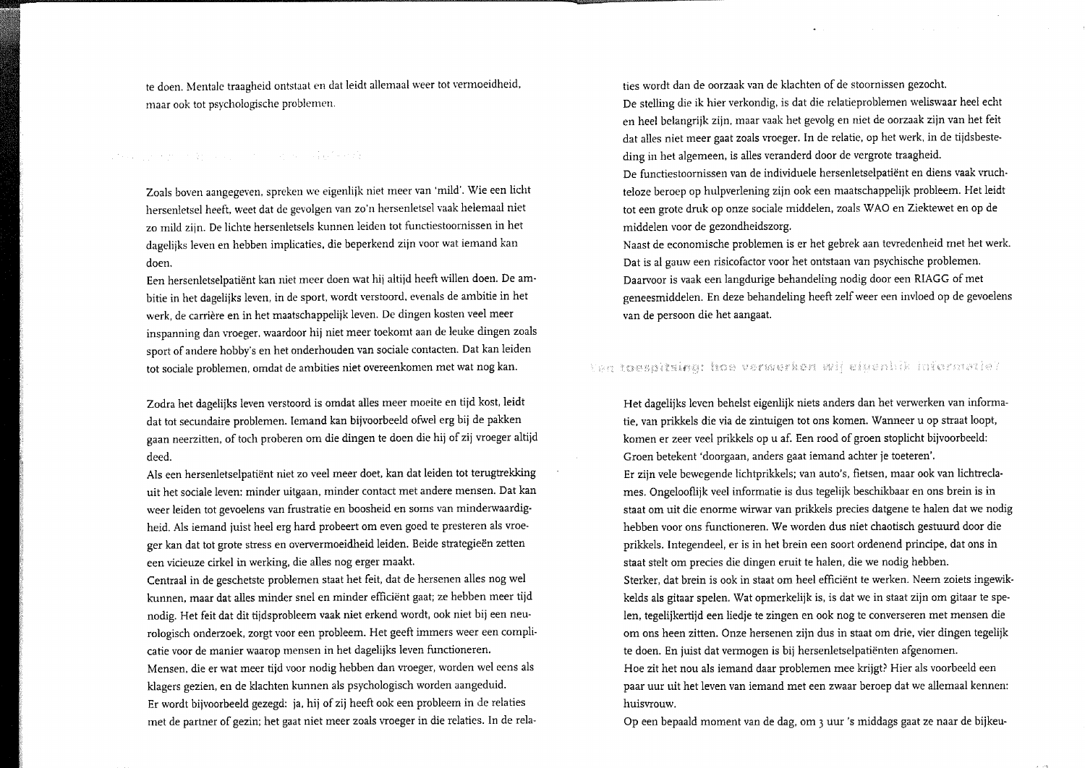te doen. Mentale traagheid ontstaat en dat leidt allemaal weer tot vermoeidheid, maar ook tot psychologische problemen.

Zoals boven aangegeven, spreken we eigenlijk niet meer van 'mild'. Wie een licht hersenletsel heeft, weet dat de gevolgen van zo'n hersenletsel vaak helemaal niet zo mild zijn. De lichte hersenletsels kunnen leiden tot functiestoornissen in het dagelijks leven en hebben implicaties, die beperkend zijn voor wat iemand kan doen.

Een hersenletselpatiënt kan niet meer doen wat hij altijd heeft willen doen. De ambitie in het dagelijks leven, in de sport, wordt verstoord, evenals de ambitie in het werk, de carrière en in het maatschappelijk leven. De dingen kosten veel meer inspanning dan vroeger, waardoor hij niet meer toekomt aan de leuke dingen zoals sport of andere hobby's en het onderhouden van sociale contacten. Dat kan leiden tot sociale problemen, omdat de ambities niet overeenkomen met wat nog kan.

Zodra het dagelijks leven verstoord is omdat alles meer moeite en tijd kost, leidt dat tot secundaire problemen. Iemand kan bijvoorbeeld ofwel erg bij de pakken gaan neerzitten, of toch proberen om die dingen te doen die hij of zij vroeger altijd deed.

Als een hersenletselpatiënt niet zo veel meer doet, kan dat leiden tot terugtrekking uit het sociale leven: minder uitgaan, minder contact met andere mensen. Dat kan weer leiden tot gevoelens van frustratie en boosheid en soms van minderwaardigheid. Als iemand juist heel erg hard probeert om even goed te presteren als vroeger kan dat tot grote stress en oververmoeidheid leiden. Beide strategieën zetten een vicieuze cirkel in werking, die alles nog erger maakt.

Centraal in de geschetste problemen staat het feit, dat de hersenen alles nog wel kunnen, maar dat alles minder snel en minder efficiënt gaat; ze hebben meer tijd nodig. Het feit dat dit tijdsprobleem vaak niet erkend wordt, ook niet bij een neurologisch onderzoek, zorgt voor een probleem. Het geeft immers weer een complicatie voor de manier waarop mensen in het dagelijks leven functioneren. Mensen, die er wat meer tijd voor nodig hebben dan vroeger, worden wel eens als klagers gezien, en de klachten kunnen als psychologisch worden aangeduid. Er wordt bijvoorbeeld gezegd: ja, hij of zij heeft ook een probleem in de relaties met de partner of gezin; het gaat niet meer zoals vroeger in die relaties. In de relaties wordt dan de oorzaak van de klachten of de stoornissen gezocht.

De stelling die ik hier verkondig, is dat die relatieproblemen weliswaar heel echt en heel belangrijk zijn, maar vaak het gevolg en niet de oorzaak zijn van het feit dat alles niet meer gaat zoals vroeger. In de relatie, op het werk, in de tijdsbesteding in het algemeen, is alles veranderd door de vergrote traagheid.

De functiestoornissen van de individuele hersenletselpatiënt en diens vaak vruchteloze beroep op hulpverlening zijn ook een maatschappelijk probleem. Het leidt tot een grote druk op onze sociale middelen, zoals WAO en Ziektewet en op de middelen voor de gezondheidszorg.

Naast de economische problemen is er het gebrek aan tevredenheid met het werk. Dat is al gauw een risicofactor voor het ontstaan van psychische problemen. Daarvoor is vaak een langdurige behandeling nodig door een RIAGG of met geneesmiddelen. En deze behandeling heeft zelf weer een invloed op de gevoelens van de persoon die het aangaat.

# Yan toespitsing: hoe verwerken wij eiuenhik informatie?

Het dagelijks leven behelst eigenlijk niets anders dan het verwerken van informatie, van prikkels die via de zintuigen tot ons komen. Wanneer u op straat loopt, komen er zeer veel prikkels op u af. Een rood of groen stoplicht bijvoorbeeld: Groen betekent 'doorgaan, anders gaat iemand achter je toeteren'. Er zijn vele bewegende lichtprikkels; van auto's, fietsen, maar ook van lichtreclames. Ongelooflijk veel informatie is dus tegelijk beschikbaar en ons brein is in staat om uit die enorme wirwar van prikkels precies datgene te halen dat we nodig hebben voor ons functioneren. We worden dus niet chaotisch gestuurd door die prikkels. Integendeel, er is in het brein een soort ordenend principe, dat ons in staat stelt om precies die dingen eruit te halen, die we nodig hebben. Sterker, dat brein is ook in staat om heel efficiënt te werken. Neem zoiets ingewikkelds als gitaar spelen. Wat opmerkelijk is, is dat we in staat zijn om gitaar te spelen, tegelijkertijd een liedje te zingen en ook nog te converseren met mensen die om ons heen zitten. Onze hersenen zijn dus in staat om drie, vier dingen tegelijk te doen. En juist dat vermogen is bij hersenletselpatiënten afgenomen. Hoe zit het nou als iemand daar problemen mee krijgt? Hier als voorbeeld een paar uur uit het leven van iemand met een zwaar beroep dat we allemaal kennen: huisvrouw.

Op een bepaald moment van de dag, om 3 uur 's middags gaat ze naar de bijkeu-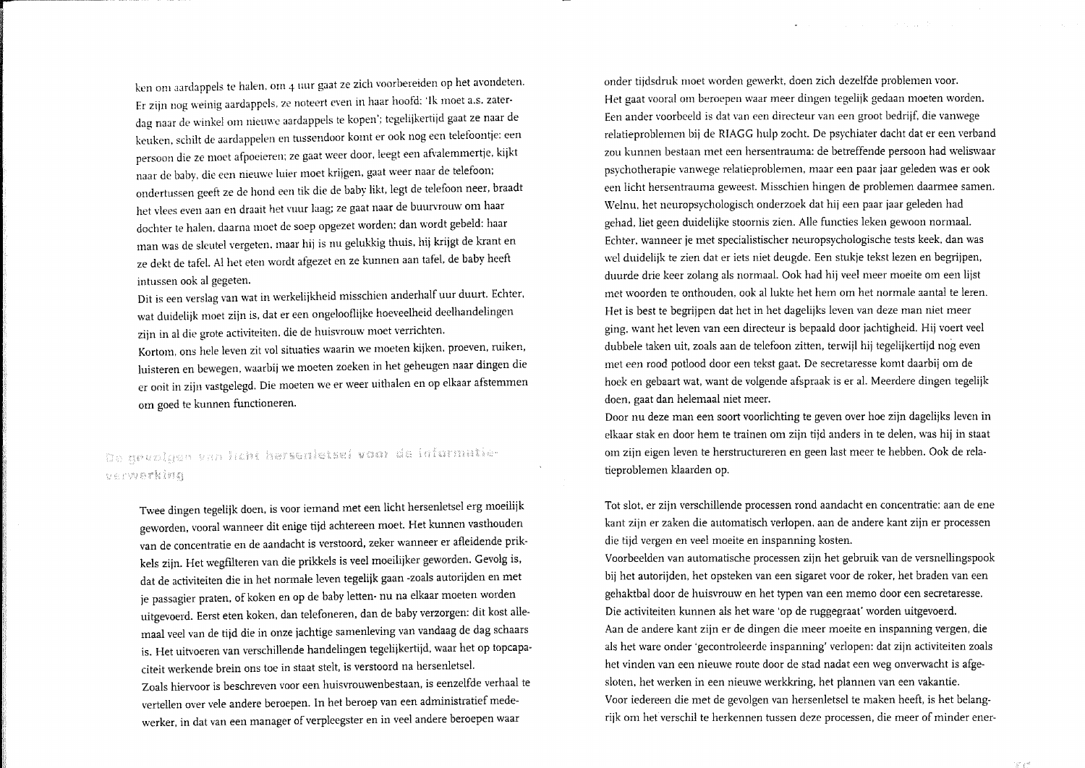ken om aardappels te halen, om 4 uur gaat ze zich voorbereiden op het avondeten. Er zijn nog weinig aardappels, ze noteert even in haar hoofd: 'Ik moet a.s. zaterdag naar de winkel om nieuwe aardappels te kopen'; tegelijkertijd gaat ze naar de keuken, schilt de aardappelen en tussendoor komt er ook nog een telefoontje: een persoon die ze moet afpoeieren; ze gaat weer door, leegt een afvalemmertje, kijkt naar de baby, die een nieuwe luier moet krijgen, gaat weer naar de telefoon; ondertussen geeft ze de hond een tik die de baby likt, legt de telefoon neer, braadt het vlees even aan en draait het vuur laag; ze gaat naar de buurvrouw om haar dochter te halen, daarna moet de soep opgezet worden; dan wordt gebeld: haar man was de sleutel vergeten, maar hij is nu gelukkig thuis, hij krijgt de krant en ze dekt de tafel. Al het eten wordt afgezet en ze kunnen aan tafel, de baby heeft intussen ook al gegeten.

Dit is een verslag van wat in werkelijkheid misschien anderhalf uur duurt. Echter, wat duidelijk moet zijn is, dat er een ongelooflijke hoeveelheid deelhandelingen zijn in al die grote activiteiten, die de huisvrouw moet verrichten.

Kortom, ons hele leven zit vol situaties waarin we moeten kijken, proeven, ruiken, luisteren en bewegen, waarbij we moeten zoeken in het geheugen naar dingen die er ooit in zijn vastgelegd. Die moeten we er weer uithalen en op elkaar afstemmen om goed te kunnen functioneren.

# De gevolgen van licht hersenletsel voor de informatieverwerking

Twee dingen tegelijk doen, is voor iemand met een licht hersenletsel erg moeilijk geworden, vooral wanneer dit enige tijd achtereen moet. Het kunnen vasthouden van de concentratie en de aandacht is verstoord, zeker wanneer er afleidende prikkels zijn. Het wegfilteren van die prikkels is veel moeilijker geworden. Gevolg is, dat de activiteiten die in het normale leven tegelijk gaan -zoals autorijden en met je passagier praten, of koken en op de baby letten- nu na elkaar moeten worden uitgevoerd. Eerst eten koken, dan telefoneren, dan de baby verzorgen: dit kost allemaal veel van de tijd die in onze jachtige samenleving van vandaag de dag schaars is. Het uitvoeren van verschillende handelingen tegelijkertijd, waar het op topcapaciteit werkende brein ons toe in staat stelt, is verstoord na hersenletsel. Zoals hiervoor is beschreven voor een huisvrouwenbestaan, is eenzelfde verhaal te vertellen over vele andere beroepen. In het beroep van een administratief medewerker, in dat van een manager of verpleegster en in veel andere beroepen waar

onder tijdsdruk moet worden gewerkt, doen zich dezelfde problemen voor. Het gaat vooral om beroepen waar meer dingen tegelijk gedaan moeten worden. Een ander voorbeeld is dat van een directeur van een groot bedrijf, die vanwege relatieproblemen bij de RIAGG hulp zocht. De psychiater dacht dat er een verband zou kunnen bestaan met een hersentrauma: de betreffende persoon had weliswaar psychotherapie vanwege relatieproblemen, maar een paar jaar geleden was er ook een licht hersentrauma geweest. Misschien hingen de problemen daarmee samen. Welnu, het neuropsychologisch onderzoek dat hij een paar jaar geleden had gehad, liet geen duidelijke stoornis zien. Alle functies leken gewoon normaal. Echter, wanneer je met specialistischer neuropsychologische tests keek, dan was wel duidelijk te zien dat er iets niet deugde. Een stukje tekst lezen en begrijpen, duurde drie keer zolang als normaal. Ook had hij veel meer moeite om een lijst met woorden te onthouden, ook al lukte het hem om het normale aantal te leren. Het is best te begrijpen dat het in het dagelijks leven van deze man niet meer ging, want het leven van een directeur is bepaald door jachtigheid. Hij voert veel dubbele taken uit, zoals aan de telefoon zitten, terwijl hij tegelijkertijd nog even met een rood potlood door een tekst gaat. De secretaresse komt daarbij om de hoek en gebaart wat, want de volgende afspraak is er al. Meerdere dingen tegelijk doen, gaat dan helemaal niet meer.

San Francisco

Door nu deze man een soort voorlichting te geven over hoe zijn dagelijks leven in elkaar stak en door hem te trainen om zijn tijd anders in te delen, was hij in staat om zijn eigen leven te herstructureren en geen last meer te hebben. Ook de relatieproblemen klaarden op.

Tot slot, er zijn verschillende processen rond aandacht en concentratie: aan de ene kant zijn er zaken die automatisch verlopen, aan de andere kant zijn er processen die tijd vergen en veel moeite en inspanning kosten.

Voorbeelden van automatische processen zijn het gebruik van de versnellingspook bij het autorijden, het opsteken van een sigaret voor de roker, het braden van een gehaktbal door de huisvrouw en het typen van een memo door een secretaresse. Die activiteiten kunnen als het ware 'op de ruggegraat' worden uitgevoerd. Aan de andere kant zijn er de dingen die meer moeite en inspanning vergen, die als het ware onder 'gecontroleerde inspanning' verlopen: dat zijn activiteiten zoals het vinden van een nieuwe route door de stad nadat een weg onverwacht is afgesloten, het werken in een nieuwe werkkring, het plannen van een vakantie. Voor iedereen die met de gevolgen van hersenletsel te maken heeft, is het belangrijk om het verschil te herkennen tussen deze processen, die meer of minder ener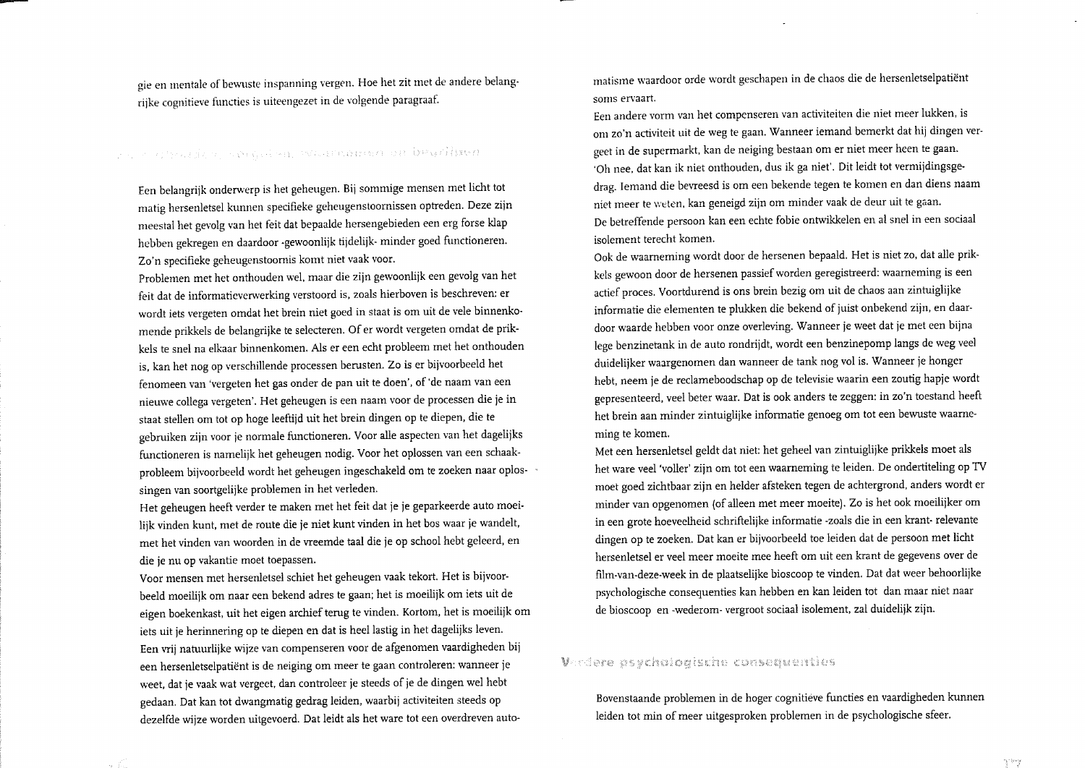gie en mentale of bewuste inspanning vergen. Hoe het zit met de andere belangrijke cognitieve functies is uiteengezet in de volgende paragraaf.

# For a greatly of skiller, wellingned on beaching

Een belangrijk onderwerp is het geheugen. Bij sommige mensen met licht tot matig hersenletsel kunnen specifieke geheugenstoornissen optreden. Deze zijn meestal het gevolg van het feit dat bepaalde hersengebieden een erg forse klap hebben gekregen en daardoor -gewoonlijk tijdelijk- minder goed functioneren. Zo'n specifieke geheugenstoornis komt niet vaak voor.

Problemen met het onthouden wel, maar die zijn gewoonlijk een gevolg van het feit dat de informatieverwerking verstoord is, zoals hierboven is beschreven: er wordt iets vergeten omdat het brein niet goed in staat is om uit de vele binnenkomende prikkels de belangrijke te selecteren. Of er wordt vergeten omdat de prikkels te snel na elkaar binnenkomen. Als er een echt probleem met het onthouden is, kan het nog op verschillende processen berusten. Zo is er bijvoorbeeld het fenomeen van 'vergeten het gas onder de pan uit te doen', of 'de naam van een nieuwe collega vergeten'. Het geheugen is een naam voor de processen die je in staat stellen om tot op hoge leeftijd uit het brein dingen op te diepen, die te gebruiken zijn voor je normale functioneren. Voor alle aspecten van het dagelijks functioneren is namelijk het geheugen nodig. Voor het oplossen van een schaakprobleem bijvoorbeeld wordt het geheugen ingeschakeld om te zoeken naar oplossingen van soortgelijke problemen in het verleden.

Het geheugen heeft verder te maken met het feit dat je je geparkeerde auto moeilijk vinden kunt, met de route die je niet kunt vinden in het bos waar je wandelt, met het vinden van woorden in de vreemde taal die je op school hebt geleerd, en die je nu op vakantie moet toepassen.

Voor mensen met hersenletsel schiet het geheugen vaak tekort. Het is bijvoorbeeld moeilijk om naar een bekend adres te gaan; het is moeilijk om iets uit de eigen boekenkast, uit het eigen archief terug te vinden. Kortom, het is moeilijk om iets uit je herinnering op te diepen en dat is heel lastig in het dagelijks leven. Een vrij natuurlijke wijze van compenseren voor de afgenomen vaardigheden bij een hersenletselpatiënt is de neiging om meer te gaan controleren: wanneer je weet, dat je vaak wat vergeet, dan controleer je steeds of je de dingen wel hebt gedaan. Dat kan tot dwangmatig gedrag leiden, waarbij activiteiten steeds op dezelfde wijze worden uitgevoerd. Dat leidt als het ware tot een overdreven automatisme waardoor orde wordt geschapen in de chaos die de hersenletselpatiënt soms ervaart.

Een andere vorm van het compenseren van activiteiten die niet meer lukken, is om zo'n activiteit uit de weg te gaan. Wanneer iemand bemerkt dat hij dingen vergeet in de supermarkt, kan de neiging bestaan om er niet meer heen te gaan. 'Oh nee, dat kan ik niet onthouden, dus ik ga niet'. Dit leidt tot vermijdingsgedrag. Iemand die bevreesd is om een bekende tegen te komen en dan diens naam niet meer te weten, kan geneigd zijn om minder vaak de deur uit te gaan. De betreffende persoon kan een echte fobie ontwikkelen en al snel in een sociaal isolement terecht komen.

Ook de waarneming wordt door de hersenen bepaald. Het is niet zo, dat alle prikkels gewoon door de hersenen passief worden geregistreerd: waarneming is een actief proces. Voortdurend is ons brein bezig om uit de chaos aan zintuiglijke informatie die elementen te plukken die bekend of juist onbekend zijn, en daardoor waarde hebben voor onze overleving. Wanneer je weet dat je met een bijna lege benzinetank in de auto rondrijdt, wordt een benzinepomp langs de weg veel duidelijker waargenomen dan wanneer de tank nog vol is. Wanneer je honger hebt, neem je de reclameboodschap op de televisie waarin een zoutig hapje wordt gepresenteerd, veel beter waar. Dat is ook anders te zeggen: in zo'n toestand heeft het brein aan minder zintuiglijke informatie genoeg om tot een bewuste waarneming te komen.

Met een hersenletsel geldt dat niet: het geheel van zintuiglijke prikkels moet als het ware veel 'voller' zijn om tot een waarneming te leiden. De ondertiteling op TV moet goed zichtbaar zijn en helder afsteken tegen de achtergrond, anders wordt er minder van opgenomen (of alleen met meer moeite). Zo is het ook moeilijker om in een grote hoeveelheid schriftelijke informatie -zoals die in een krant- relevante dingen op te zoeken. Dat kan er bijvoorbeeld toe leiden dat de persoon met licht hersenletsel er veel meer moeite mee heeft om uit een krant de gegevens over de film-van-deze-week in de plaatselijke bioscoop te vinden. Dat dat weer behoorlijke psychologische consequenties kan hebben en kan leiden tot dan maar niet naar de bioscoop en -wederom- vergroot sociaal isolement, zal duidelijk zijn.

# Verdere psychologische consequenties

Bovenstaande problemen in de hoger cognitieve functies en vaardigheden kunnen leiden tot min of meer uitgesproken problemen in de psychologische sfeer.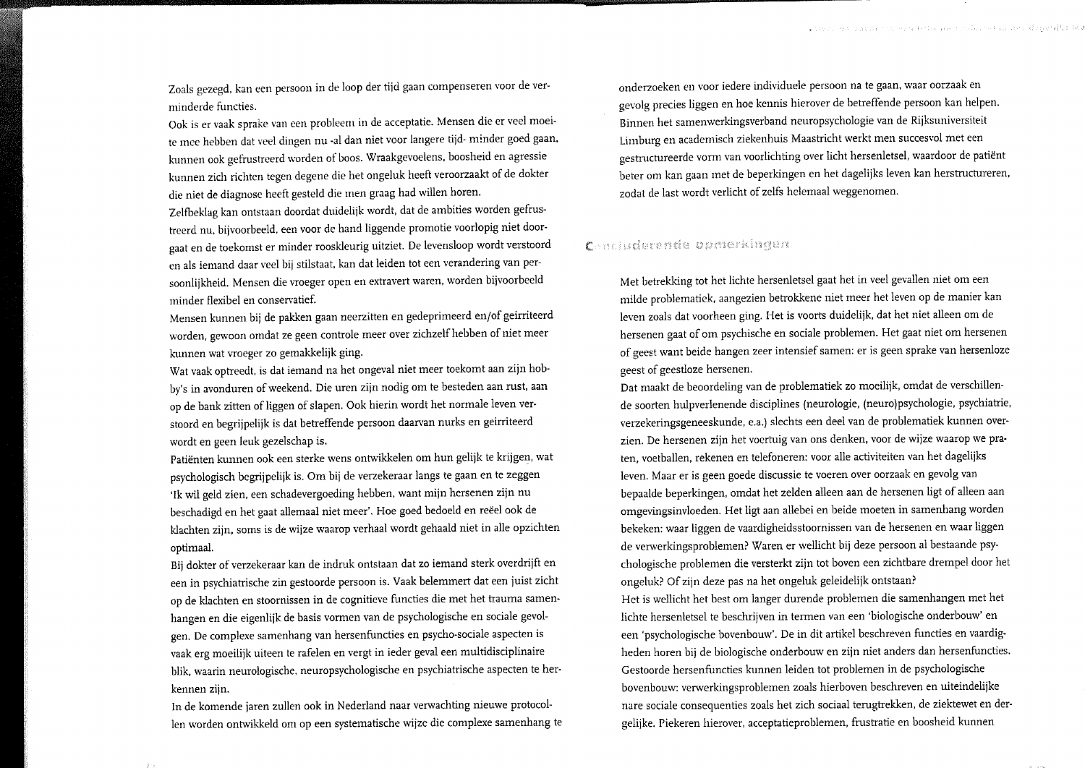Zoals gezegd, kan een persoon in de loop der tijd gaan compenseren voor de verminderde functies.

Ook is er vaak sprake van een probleem in de acceptatie. Mensen die er veel moeite mee hebben dat veel dingen nu -al dan niet voor langere tijd- minder goed gaan, kunnen ook gefrustreerd worden of boos. Wraakgevoelens, boosheid en agressie kunnen zich richten tegen degene die het ongeluk heeft veroorzaakt of de dokter die niet de diagnose heeft gesteld die men graag had willen horen.

Zelfbeklag kan ontstaan doordat duidelijk wordt, dat de ambities worden gefrustreerd nu, bijvoorbeeld, een voor de hand liggende promotie voorlopig niet doorgaat en de toekomst er minder rooskleurig uitziet. De levensloop wordt verstoord en als iemand daar veel bij stilstaat, kan dat leiden tot een verandering van persoonlijkheid. Mensen die vroeger open en extravert waren, worden bijvoorbeeld minder flexibel en conservatief.

Mensen kunnen bij de pakken gaan neerzitten en gedeprimeerd en/of geirriteerd worden, gewoon omdat ze geen controle meer over zichzelf hebben of niet meer kunnen wat vroeger zo gemakkelijk ging.

Wat vaak optreedt, is dat iemand na het ongeval niet meer toekomt aan zijn hobby's in avonduren of weekend. Die uren zijn nodig om te besteden aan rust, aan op de bank zitten of liggen of slapen. Ook hierin wordt het normale leven verstoord en begrijpelijk is dat betreffende persoon daarvan nurks en geirriteerd wordt en geen leuk gezelschap is.

Patiënten kunnen ook een sterke wens ontwikkelen om hun gelijk te krijgen, wat psychologisch begrijpelijk is. Om bij de verzekeraar langs te gaan en te zeggen 'Ik wil geld zien, een schadevergoeding hebben, want mijn hersenen zijn nu beschadigd en het gaat allemaal niet meer'. Hoe goed bedoeld en reëel ook de klachten zijn, soms is de wijze waarop verhaal wordt gehaald niet in alle opzichten optimaal.

Bij dokter of verzekeraar kan de indruk ontstaan dat zo iemand sterk overdrijft en een in psychiatrische zin gestoorde persoon is. Vaak belemmert dat een juist zicht op de klachten en stoornissen in de cognitieve functies die met het trauma samenhangen en die eigenlijk de basis vormen van de psychologische en sociale gevolgen. De complexe samenhang van hersenfuncties en psycho-sociale aspecten is vaak erg moeilijk uiteen te rafelen en vergt in ieder geval een multidisciplinaire blik, waarin neurologische, neuropsychologische en psychiatrische aspecten te herkennen ziin.

In de komende jaren zullen ook in Nederland naar verwachting nieuwe protocollen worden ontwikkeld om op een systematische wijze die complexe samenhang te onderzoeken en voor iedere individuele persoon na te gaan, waar oorzaak en gevolg precies liggen en hoe kennis hierover de betreffende persoon kan helpen. Binnen het samenwerkingsverband neuropsychologie van de Rijksuniversiteit Limburg en academisch ziekenhuis Maastricht werkt men succesvol met een gestructureerde vorm van voorlichting over licht hersenletsel, waardoor de patiënt beter om kan gaan met de beperkingen en het dagelijks leven kan herstructureren, zodat de last wordt verlicht of zelfs helemaal weggenomen.

# Concluderente opmerkingen

Met betrekking tot het lichte hersenletsel gaat het in veel gevallen niet om een milde problematiek, aangezien betrokkene niet meer het leven op de manier kan leven zoals dat voorheen ging. Het is voorts duidelijk, dat het niet alleen om de hersenen gaat of om psychische en sociale problemen. Het gaat niet om hersenen of geest want beide hangen zeer intensief samen: er is geen sprake van hersenloze geest of geestloze hersenen.

Dat maakt de beoordeling van de problematiek zo moeilijk, omdat de verschillende soorten hulpverlenende disciplines (neurologie, (neuro)psychologie, psychiatrie, verzekeringsgeneeskunde, e.a.) slechts een deel van de problematiek kunnen overzien. De hersenen zijn het voertuig van ons denken, voor de wijze waarop we praten, voetballen, rekenen en telefoneren: voor alle activiteiten van het dagelijks leven. Maar er is geen goede discussie te voeren over oorzaak en gevolg van bepaalde beperkingen, omdat het zelden alleen aan de hersenen ligt of alleen aan omgevingsinvloeden. Het ligt aan allebei en beide moeten in samenhang worden bekeken: waar liggen de vaardigheidsstoornissen van de hersenen en waar liggen de verwerkingsproblemen? Waren er wellicht bij deze persoon al bestaande psychologische problemen die versterkt zijn tot boven een zichtbare drempel door het ongeluk? Of zijn deze pas na het ongeluk geleidelijk ontstaan?

Het is wellicht het best om langer durende problemen die samenhangen met het lichte hersenletsel te beschrijven in termen van een 'biologische onderbouw' en een 'psychologische bovenbouw'. De in dit artikel beschreven functies en vaardigheden horen bij de biologische onderbouw en zijn niet anders dan hersenfuncties. Gestoorde hersenfuncties kunnen leiden tot problemen in de psychologische bovenbouw: verwerkingsproblemen zoals hierboven beschreven en uiteindelijke nare sociale consequenties zoals het zich sociaal terugtrekken, de ziektewet en dergelijke. Piekeren hierover, acceptatieproblemen, frustratie en boosheid kunnen